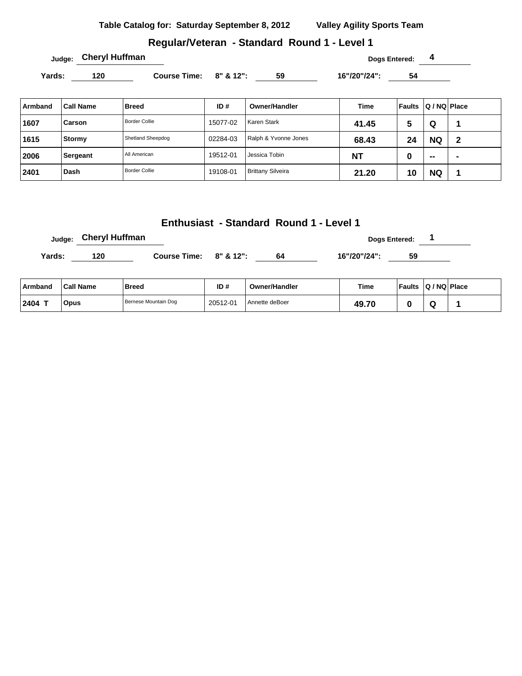| Table Catalog for: Saturday September 8, 2012 | <b>Valley Agility Sports Team</b> |
|-----------------------------------------------|-----------------------------------|
|-----------------------------------------------|-----------------------------------|

### **Regular/Veteran - Standard Round 1 - Level 1**

Yards: 120 **Course Time:** 8" & 12": 59 16"/20"/24": 54

| Armband | <b>Call Name</b> | <b>Breed</b>         | ID#      | Owner/Handler            | Time      | Faults | Q / NQ Place             |   |
|---------|------------------|----------------------|----------|--------------------------|-----------|--------|--------------------------|---|
| 1607    | Carson           | <b>Border Collie</b> | 15077-02 | Karen Stark              | 41.45     | 5      | Q                        |   |
| 1615    | Stormy           | Shetland Sheepdog    | 02284-03 | Ralph & Yvonne Jones     | 68.43     | 24     | <b>NQ</b>                | 2 |
| 2006    | Sergeant         | All American         | 19512-01 | Jessica Tobin            | <b>NT</b> | υ      | $\overline{\phantom{a}}$ |   |
| 2401    | Dash             | <b>Border Collie</b> | 19108-01 | <b>Brittany Silveira</b> | 21.20     | 10     | <b>NQ</b>                |   |

### **Enthusiast - Standard Round 1 - Level 1**

|        | Judge: Cheryl Huffman |                        |    | <b>Dogs Entered:</b> |    |  |
|--------|-----------------------|------------------------|----|----------------------|----|--|
| Yards: | 120                   | Course Time: 8" & 12": | 64 | 16"/20"/24":         | 59 |  |
|        |                       |                        |    |                      |    |  |

| ⊺Armband | <b>Call Name</b> | Breed                | ID#      | <b>Owner/Handler</b> | Time  | <b>Faults</b> | $ Q/NQ $ Place |  |
|----------|------------------|----------------------|----------|----------------------|-------|---------------|----------------|--|
| 2404     | Opus             | Bernese Mountain Dog | 20512-01 | l Annette deBoer     | 49.70 |               | w              |  |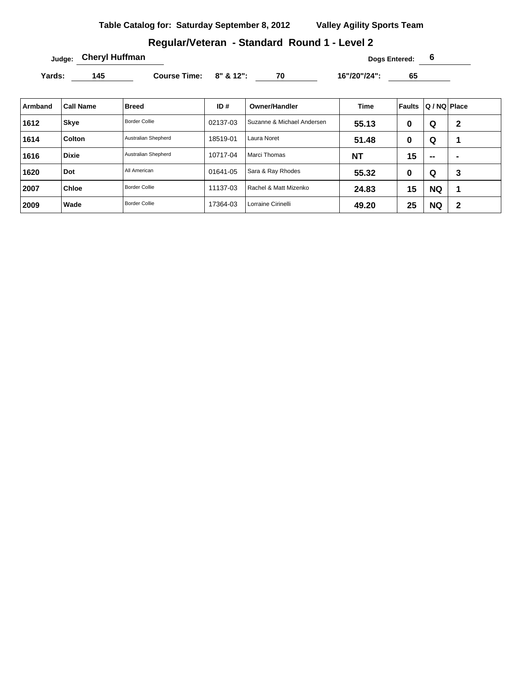## **Regular/Veteran - Standard Round 1 - Level 2**

**Judge:** Cheryl Huffman **Cheryl Huffman Dogs Entered:** 6

Yards: 145 **Course Time: 8" & 12":** 70 16"/20"/24": 65

| Armband | <b>Call Name</b> | <b>Breed</b>         | ID#      | Owner/Handler              | Time      | ∣ Faults | Q / NQ Place |              |
|---------|------------------|----------------------|----------|----------------------------|-----------|----------|--------------|--------------|
| 1612    | <b>Skye</b>      | <b>Border Collie</b> | 02137-03 | Suzanne & Michael Andersen | 55.13     | 0        | Q            | $\mathbf{2}$ |
| 1614    | Colton           | Australian Shepherd  | 18519-01 | Laura Noret                | 51.48     | 0        | Q            |              |
| 1616    | <b>Dixie</b>     | Australian Shepherd  | 10717-04 | Marci Thomas               | <b>NT</b> | 15       | $\sim$       | -            |
| 1620    | Dot              | All American         | 01641-05 | Sara & Ray Rhodes          | 55.32     | 0        | Q            | 3            |
| 2007    | <b>Chloe</b>     | <b>Border Collie</b> | 11137-03 | Rachel & Matt Mizenko      | 24.83     | 15       | <b>NQ</b>    |              |
| 2009    | Wade             | <b>Border Collie</b> | 17364-03 | Lorraine Cirinelli         | 49.20     | 25       | <b>NQ</b>    | $\mathbf{2}$ |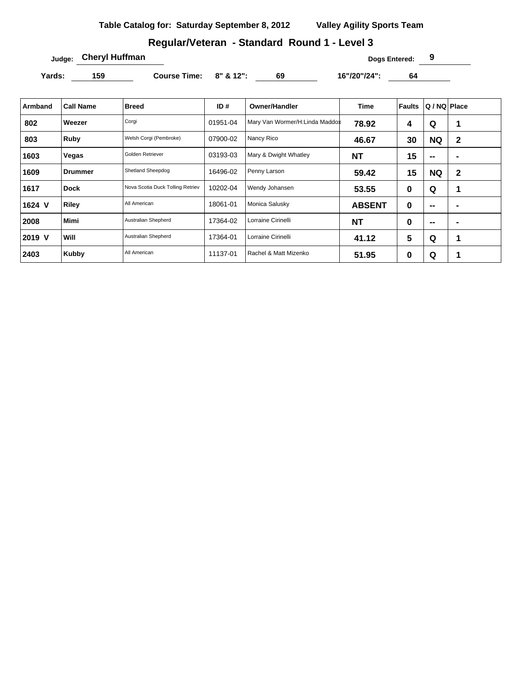## **Regular/Veteran - Standard Round 1 - Level 3**

**Judge: Cheryl Huffman Dogs Entered: 9** 

Yards: 159 **Course Time:** 8" & 12": 69 16"/20"/24": 64

| Armband | <b>Call Name</b> | <b>Breed</b>                     | ID#      | <b>Owner/Handler</b>           | <b>Time</b>   | Faults | Q / NQ   Place           |                |
|---------|------------------|----------------------------------|----------|--------------------------------|---------------|--------|--------------------------|----------------|
| 802     | Weezer           | Corgi                            | 01951-04 | Mary Van Wormer/H:Linda Maddox | 78.92         | 4      | Q                        | 1              |
| 803     | Ruby             | Welsh Corgi (Pembroke)           | 07900-02 | Nancy Rico                     | 46.67         | 30     | <b>NQ</b>                | $\mathbf{2}$   |
| 1603    | Vegas            | Golden Retriever                 | 03193-03 | Mary & Dwight Whatley          | <b>NT</b>     | 15     | --                       |                |
| 1609    | Drummer          | Shetland Sheepdog                | 16496-02 | Penny Larson                   | 59.42         | 15     | <b>NQ</b>                | $\mathbf{2}$   |
| 1617    | Dock             | Nova Scotia Duck Tolling Retriev | 10202-04 | Wendy Johansen                 | 53.55         | 0      | Q                        | 1              |
| 1624 V  | <b>Riley</b>     | All American                     | 18061-01 | Monica Salusky                 | <b>ABSENT</b> | 0      | $\overline{\phantom{a}}$ | $\blacksquare$ |
| 2008    | <b>Mimi</b>      | Australian Shepherd              | 17364-02 | Lorraine Cirinelli             | <b>NT</b>     | 0      | --                       | $\blacksquare$ |
| 2019 V  | Will             | Australian Shepherd              | 17364-01 | Lorraine Cirinelli             | 41.12         | 5      | Q                        | 1              |
| 2403    | Kubby            | All American                     | 11137-01 | Rachel & Matt Mizenko          | 51.95         | 0      | Q                        |                |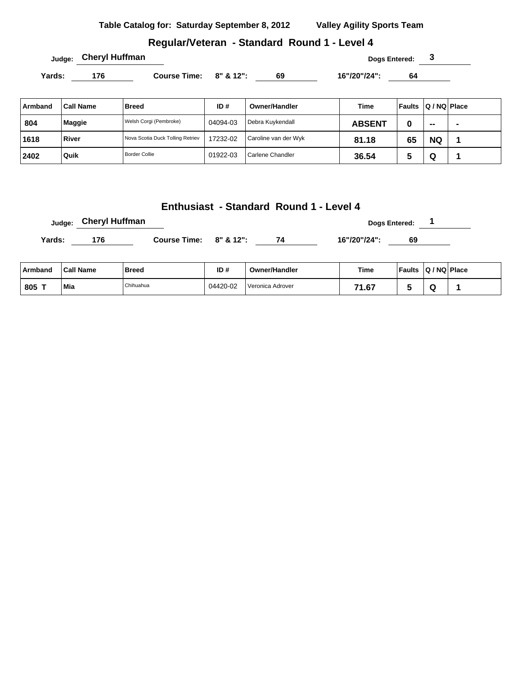|  |  | Table Catalog for: Saturday September 8, 2012 |  | <b>Valley Agility Sports Team</b> |
|--|--|-----------------------------------------------|--|-----------------------------------|
|--|--|-----------------------------------------------|--|-----------------------------------|

## **Regular/Veteran - Standard Round 1 - Level 4**

Yards: 176 **Course Time:** 8" & 12": 69 16"/20"/24": 64

| Armband | <b>Call Name</b> | <b>Breed</b>                     | ID#      | Owner/Handler        | Time          | <b>Faults</b> | Q / NQ   Place |  |
|---------|------------------|----------------------------------|----------|----------------------|---------------|---------------|----------------|--|
| 804     | <b>Maggie</b>    | Welsh Corgi (Pembroke)           | 04094-03 | Debra Kuykendall     | <b>ABSENT</b> | O             | $\sim$         |  |
| 1618    | River            | Nova Scotia Duck Tolling Retriev | 17232-02 | Caroline van der Wyk | 81.18         | 65            | <b>NQ</b>      |  |
| 2402    | Quik             | <b>Border Collie</b>             | 01922-03 | Carlene Chandler     | 36.54         | w             | Q              |  |

# **Enthusiast - Standard Round 1 - Level 4**

|        | Judge: Cheryl Huffman |                           |    |              | <b>Dogs Entered:</b> |
|--------|-----------------------|---------------------------|----|--------------|----------------------|
| Yards: | 176                   | Course Time: $8''$ & 12": | 74 | 16"/20"/24": | 69                   |

| ∣ Armband | <b>Call Name</b> | Breed     | ID#      | <b>Owner/Handler</b> | <b>Time</b>        | <b>Faults</b> | $ Q/NQ $ Place |  |
|-----------|------------------|-----------|----------|----------------------|--------------------|---------------|----------------|--|
| 805 T     | Mia<br>$\sim$    | Chihuahua | 04420-02 | Veronica Adrover     | 74<br>- 07<br>1.07 |               |                |  |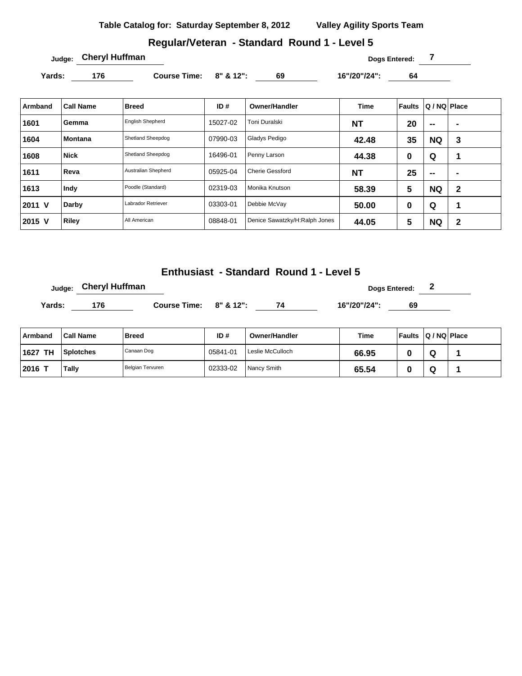### **Regular/Veteran - Standard Round 1 - Level 5**

**Dogs Entered: 7 Dogs Entered: 7 Dogs Entered: 7** 

Yards: 176 **Course Time:** 8" & 12": 69 16"/20"/24": 64

| <b>Armband</b> | <b>Call Name</b> | <b>Breed</b>            | ID#      | <b>Owner/Handler</b>          | <b>Time</b> | <b>Faults</b> | Q / NQ   Place |                |
|----------------|------------------|-------------------------|----------|-------------------------------|-------------|---------------|----------------|----------------|
| 1601           | Gemma            | <b>English Shepherd</b> | 15027-02 | Toni Duralski                 | <b>NT</b>   | 20            | $\sim$         | $\blacksquare$ |
| 1604           | <b>Montana</b>   | Shetland Sheepdog       | 07990-03 | Gladys Pedigo                 | 42.48       | 35            | <b>NQ</b>      | 3              |
| 1608           | <b>Nick</b>      | Shetland Sheepdog       | 16496-01 | Penny Larson                  | 44.38       | 0             | Q              | и              |
| 1611           | Reva             | Australian Shepherd     | 05925-04 | <b>Cherie Gessford</b>        | <b>NT</b>   | 25            | $\sim$         | -              |
| 1613           | Indy             | Poodle (Standard)       | 02319-03 | Monika Knutson                | 58.39       | 5             | <b>NQ</b>      | 2              |
| 2011 V         | Darby            | Labrador Retriever      | 03303-01 | Debbie McVay                  | 50.00       | 0             | Q              |                |
| 2015 V         | <b>Riley</b>     | All American            | 08848-01 | Denice Sawatzky/H:Ralph Jones | 44.05       | 5             | <b>NQ</b>      | 2              |

**Enthusiast - Standard Round 1 - Level 5**

|        | Judge: Cheryl Huffman |                        |    | <b>Dogs Entered:</b> | ◢  |  |
|--------|-----------------------|------------------------|----|----------------------|----|--|
| Yards: | 176                   | Course Time: 8" & 12": | 74 | 16"/20"/24":         | 69 |  |

| Armband    | <b>Call Name</b> | Breed            | ID#      | Owner/Handler    | Time  | Faults | $ Q/NQ $ Place |  |
|------------|------------------|------------------|----------|------------------|-------|--------|----------------|--|
| 1627<br>ΤН | Splotches        | ' Canaan Dog     | 05841-01 | Leslie McCulloch | 66.95 |        | ື              |  |
| 2016       | Tally            | Belgian Tervuren | 02333-02 | Nancy Smith      | 65.54 |        | ື              |  |